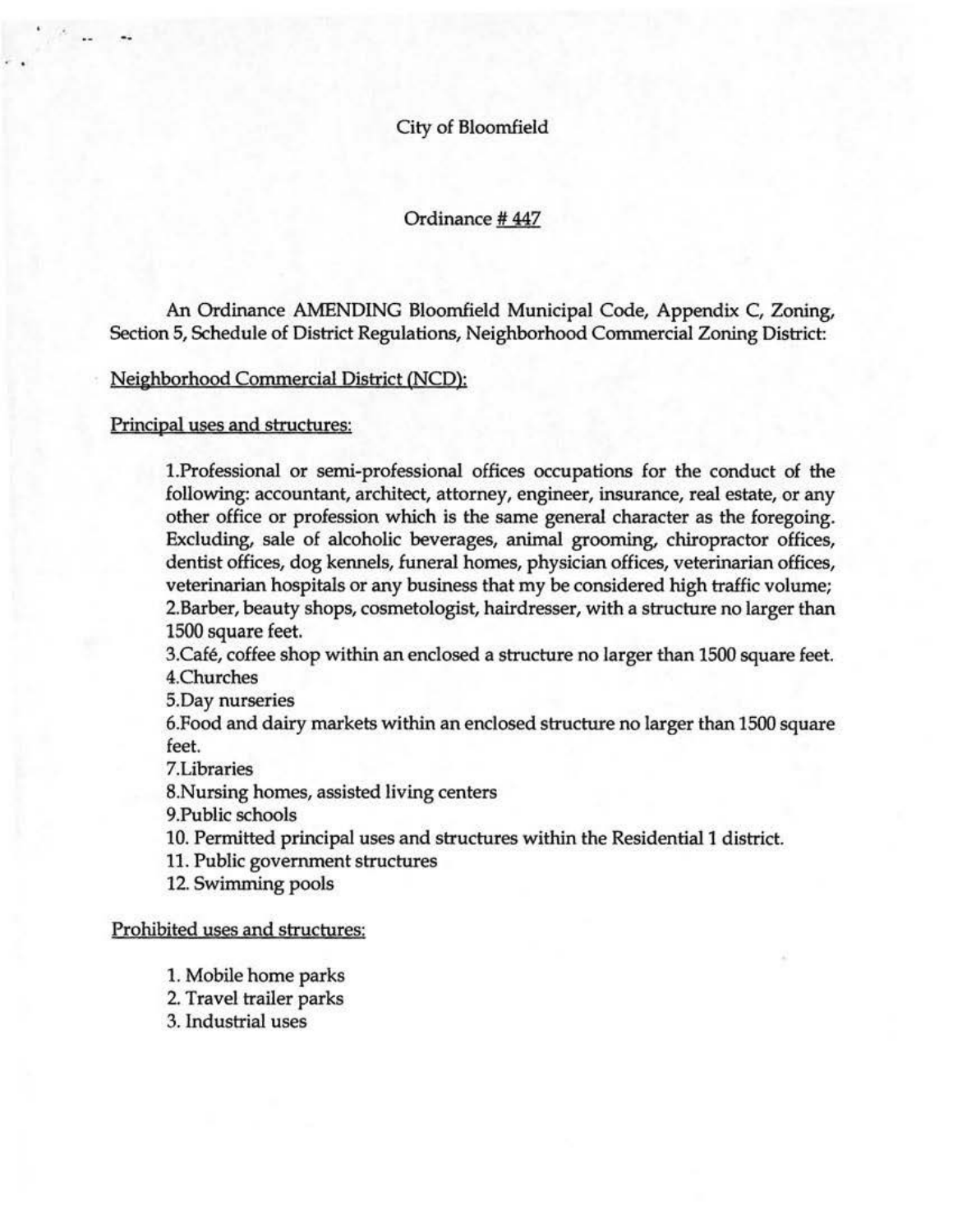City of Bloomfield

Ordinance #447

An Ordinance AMENDING Bloomfield Municipal Code, Appendix C, Zoning, Section 5, Schedule of District Regulations, Neighborhood Commercial Zoning District:

Neighborhood Commercial District (NCD):

Principal uses and structures:

1.Professional or semi-professional offices occupations for the conduct of the following: accountant, architect, attorney, engineer, insurance, real estate, or any other office or profession which is the same general character as the foregoing. Excluding, sale of alcoholic beverages, animal grooming, chiropractor offices, dentist offices, dog kennels, funeral homes, physician offices, veterinarian offices, veterinarian hospitals or any business that my be considered high traffic volume; 2.Barber, beauty shops, cosmetologist, hairdresser, with a structure no larger than 1500 square feet.

3.Cafe, coffee shop within an enclosed a structure no larger than 1500 square feet. 4.Churches

5.Day nurseries

6.Food and dairy markets within an enclosed structure no larger than 1500 square feet.

7.Libraries

8.Nursing homes, assisted living centers

9.Public schools

10. Permitted principal uses and structures within the Residential 1 district.

11. Public government structures

12. Swimming pools

Prohibited uses and structures:

1. Mobile home parks

2. Travel trailer parks

3. Industrial uses